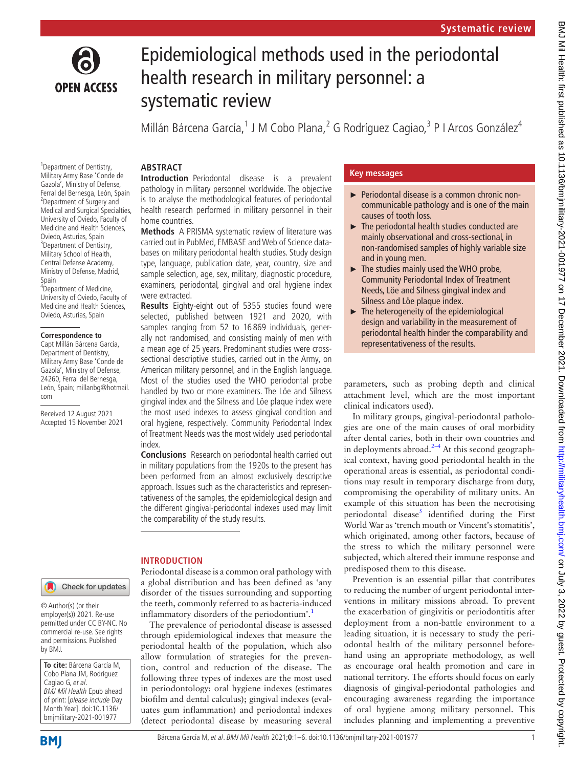

# Epidemiological methods used in the periodontal health research in military personnel: a systematic review

Millán Bárcena García,<sup>1</sup> J M Cobo Plana,<sup>2</sup> G Rodríguez Cagiao,<sup>3</sup> P I Arcos González<sup>4</sup>

<sup>1</sup> Department of Dentistry, Military Army Base 'Conde de Gazola', Ministry of Defense, Ferral del Bernesga, León, Spain <sup>2</sup> Department of Surgery and Medical and Surgical Specialties, University of Oviedo, Faculty of Medicine and Health Sciences, Oviedo, Asturias, Spain <sup>3</sup>Department of Dentistry, Military School of Health, Central Defense Academy, Ministry of Defense, Madrid, Spain

4 Department of Medicine, University of Oviedo, Faculty of Medicine and Health Sciences, Oviedo, Asturias, Spain

#### **Correspondence to**

Capt Millán Bárcena García, Department of Dentistry, Military Army Base 'Conde de Gazola', Ministry of Defense, 24260, Ferral del Bernesga, León, Spain; millanbg@hotmail. com

Received 12 August 2021 Accepted 15 November 2021

# **ARSTRACT**

**Introduction** Periodontal disease is a prevalent pathology in military personnel worldwide. The objective is to analyse the methodological features of periodontal health research performed in military personnel in their home countries.

**Methods** A PRISMA systematic review of literature was carried out in PubMed, EMBASE and Web of Science databases on military periodontal health studies. Study design type, language, publication date, year, country, size and sample selection, age, sex, military, diagnostic procedure, examiners, periodontal, gingival and oral hygiene index were extracted.

**Results** Eighty-eight out of 5355 studies found were selected, published between 1921 and 2020, with samples ranging from 52 to 16 869 individuals, generally not randomised, and consisting mainly of men with a mean age of 25 years. Predominant studies were crosssectional descriptive studies, carried out in the Army, on American military personnel, and in the English language. Most of the studies used the WHO periodontal probe handled by two or more examiners. The Löe and Silness gingival index and the Silness and Löe plaque index were the most used indexes to assess gingival condition and oral hygiene, respectively. Community Periodontal Index of Treatment Needs was the most widely used periodontal index.

**Conclusions** Research on periodontal health carried out in military populations from the 1920s to the present has been performed from an almost exclusively descriptive approach. Issues such as the characteristics and representativeness of the samples, the epidemiological design and the different gingival-periodontal indexes used may limit the comparability of the study results.

# **INTRODUCTION**

#### Check for updates

© Author(s) (or their employer(s)) 2021. Re-use permitted under CC BY-NC. No commercial re-use. See rights and permissions. Published by BMJ.

**To cite:** Bárcena García M, Cobo Plana JM, Rodríguez Cagiao G, et al. BMJ Mil Health Epub ahead of print: [please include Day Month Year]. doi:10.1136/ bmjmilitary-2021-001977

Periodontal disease is a common oral pathology with a global distribution and has been defined as 'any disorder of the tissues surrounding and supporting the teeth, commonly referred to as bacteria-induced inflammatory disorders of the periodontium'.<sup>[1](#page-4-0)</sup>

The prevalence of periodontal disease is assessed through epidemiological indexes that measure the periodontal health of the population, which also allow formulation of strategies for the prevention, control and reduction of the disease. The following three types of indexes are the most used in periodontology: oral hygiene indexes (estimates biofilm and dental calculus); gingival indexes (evaluates gum inflammation) and periodontal indexes (detect periodontal disease by measuring several

# **Key messages**

- ► Periodontal disease is a common chronic noncommunicable pathology and is one of the main causes of tooth loss.
- ► The periodontal health studies conducted are mainly observational and cross-sectional, in non-randomised samples of highly variable size and in young men.
- ► The studies mainly used the WHO probe, Community Periodontal Index of Treatment Needs, Löe and Silness gingival index and Silness and Löe plaque index.
- $\blacktriangleright$  The heterogeneity of the epidemiological design and variability in the measurement of periodontal health hinder the comparability and representativeness of the results.

parameters, such as probing depth and clinical attachment level, which are the most important clinical indicators used).

In military groups, gingival-periodontal pathologies are one of the main causes of oral morbidity after dental caries, both in their own countries and in deployments abroad. $2-4$  At this second geographical context, having good periodontal health in the operational areas is essential, as periodontal conditions may result in temporary discharge from duty, compromising the operability of military units. An example of this situation has been the necrotising periodontal disease<sup>[5](#page-4-2)</sup> identified during the First World War as 'trench mouth or Vincent's stomatitis', which originated, among other factors, because of the stress to which the military personnel were subjected, which altered their immune response and predisposed them to this disease.

Prevention is an essential pillar that contributes to reducing the number of urgent periodontal interventions in military missions abroad. To prevent the exacerbation of gingivitis or periodontitis after deployment from a non-battle environment to a leading situation, it is necessary to study the periodontal health of the military personnel beforehand using an appropriate methodology, as well as encourage oral health promotion and care in national territory. The efforts should focus on early diagnosis of gingival-periodontal pathologies and encouraging awareness regarding the importance of oral hygiene among military personnel. This includes planning and implementing a preventive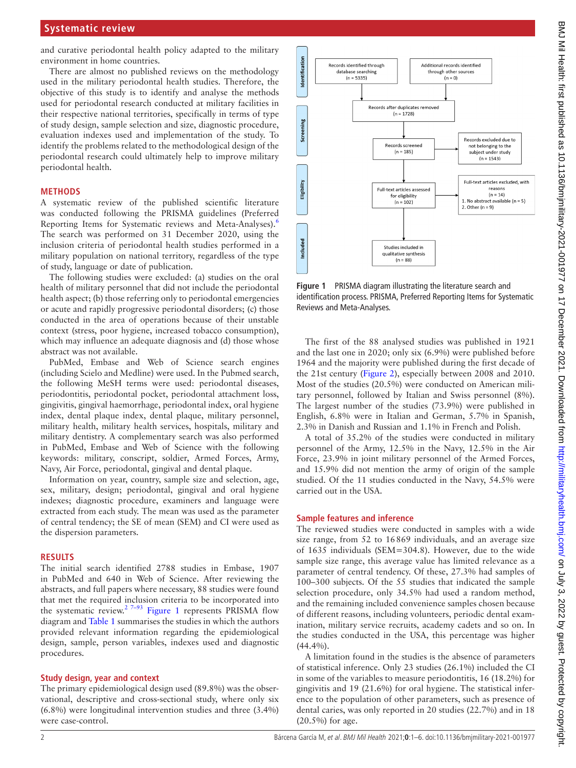and curative periodontal health policy adapted to the military environment in home countries.

There are almost no published reviews on the methodology used in the military periodontal health studies. Therefore, the objective of this study is to identify and analyse the methods used for periodontal research conducted at military facilities in their respective national territories, specifically in terms of type of study design, sample selection and size, diagnostic procedure, evaluation indexes used and implementation of the study. To identify the problems related to the methodological design of the periodontal research could ultimately help to improve military periodontal health.

#### **METHODS**

A systematic review of the published scientific literature was conducted following the PRISMA guidelines (Preferred Reporting Items for Systematic reviews and Meta-Analyses).<sup>6</sup> The search was performed on 31 December 2020, using the inclusion criteria of periodontal health studies performed in a military population on national territory, regardless of the type of study, language or date of publication.

The following studies were excluded: (a) studies on the oral health of military personnel that did not include the periodontal health aspect; (b) those referring only to periodontal emergencies or acute and rapidly progressive periodontal disorders; (c) those conducted in the area of operations because of their unstable context (stress, poor hygiene, increased tobacco consumption), which may influence an adequate diagnosis and (d) those whose abstract was not available.

PubMed, Embase and Web of Science search engines (including Scielo and Medline) were used. In the Pubmed search, the following MeSH terms were used: periodontal diseases, periodontitis, periodontal pocket, periodontal attachment loss, gingivitis, gingival haemorrhage, periodontal index, oral hygiene index, dental plaque index, dental plaque, military personnel, military health, military health services, hospitals, military and military dentistry. A complementary search was also performed in PubMed, Embase and Web of Science with the following keywords: military, conscript, soldier, Armed Forces, Army, Navy, Air Force, periodontal, gingival and dental plaque.

Information on year, country, sample size and selection, age, sex, military, design; periodontal, gingival and oral hygiene indexes; diagnostic procedure, examiners and language were extracted from each study. The mean was used as the parameter of central tendency; the SE of mean (SEM) and CI were used as the dispersion parameters.

#### **RESULTS**

The initial search identified 2788 studies in Embase, 1907 in PubMed and 640 in Web of Science. After reviewing the abstracts, and full papers where necessary, 88 studies were found that met the required inclusion criteria to be incorporated into the systematic review.<sup>[2 7–93](#page-4-1)</sup> [Figure](#page-1-0) 1 represents PRISMA flow diagram and [Table](#page-2-0) 1 summarises the studies in which the authors provided relevant information regarding the epidemiological design, sample, person variables, indexes used and diagnostic procedures.

### **Study design, year and context**

The primary epidemiological design used (89.8%) was the observational, descriptive and cross-sectional study, where only six (6.8%) were longitudinal intervention studies and three (3.4%) were case-control.



<span id="page-1-0"></span>**Figure 1** PRISMA diagram illustrating the literature search and identification process. PRISMA, Preferred Reporting Items for Systematic Reviews and Meta-Analyses.

The first of the 88 analysed studies was published in 1921 and the last one in 2020; only six (6.9%) were published before 1964 and the majority were published during the first decade of the 21st century ([Figure](#page-2-1) 2), especially between 2008 and 2010. Most of the studies (20.5%) were conducted on American military personnel, followed by Italian and Swiss personnel (8%). The largest number of the studies (73.9%) were published in English, 6.8% were in Italian and German, 5.7% in Spanish, 2.3% in Danish and Russian and 1.1% in French and Polish.

A total of 35.2% of the studies were conducted in military personnel of the Army, 12.5% in the Navy, 12.5% in the Air Force, 23.9% in joint military personnel of the Armed Forces, and 15.9% did not mention the army of origin of the sample studied. Of the 11 studies conducted in the Navy, 54.5% were carried out in the USA.

#### **Sample features and inference**

The reviewed studies were conducted in samples with a wide size range, from 52 to 16869 individuals, and an average size of 1635 individuals (SEM=304.8). However, due to the wide sample size range, this average value has limited relevance as a parameter of central tendency. Of these, 27.3% had samples of 100–300 subjects. Of the 55 studies that indicated the sample selection procedure, only 34.5% had used a random method, and the remaining included convenience samples chosen because of different reasons, including volunteers, periodic dental examination, military service recruits, academy cadets and so on. In the studies conducted in the USA, this percentage was higher (44.4%).

A limitation found in the studies is the absence of parameters of statistical inference. Only 23 studies (26.1%) included the CI in some of the variables to measure periodontitis, 16 (18.2%) for gingivitis and 19 (21.6%) for oral hygiene. The statistical inference to the population of other parameters, such as presence of dental caries, was only reported in 20 studies (22.7%) and in 18 (20.5%) for age.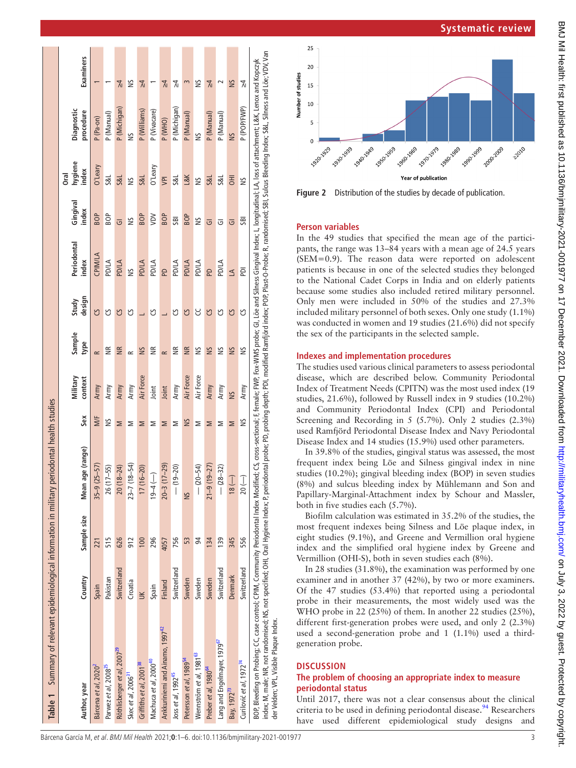| Table 1 Summary of relevant epidemiological information in military periodontal health studies                                                                                                                                                                                                                                                                                                                                                                                                            |             |             |                   |     |                     |                   |                 |                      |                   |                            |                         |               |
|-----------------------------------------------------------------------------------------------------------------------------------------------------------------------------------------------------------------------------------------------------------------------------------------------------------------------------------------------------------------------------------------------------------------------------------------------------------------------------------------------------------|-------------|-------------|-------------------|-----|---------------------|-------------------|-----------------|----------------------|-------------------|----------------------------|-------------------------|---------------|
| Author, year                                                                                                                                                                                                                                                                                                                                                                                                                                                                                              | Country     | Sample size | Mean age (range)  | Sex | Military<br>context | Sample<br>type    | design<br>Study | Periodontal<br>index | Gingival<br>index | hygiene<br>index<br>ნ<br>ნ | Diagnostic<br>procedure | Examiners     |
| Bárcena et al, 2020 <sup>2</sup>                                                                                                                                                                                                                                                                                                                                                                                                                                                                          | Spain       | 221         | $35 - 9(25 - 57)$ | M/F | Army                | $\approx$         | უ               | CPIMILA              | <b>BOP</b>        | O'Leary                    | P (Pa-on)               |               |
| Parwez et al, 2008 <sup>25</sup>                                                                                                                                                                                                                                                                                                                                                                                                                                                                          | Pakistan    | 515         | 26 (17-55)        | S   | Army                | $\widetilde{\Xi}$ | უ               | PD/LA                | B <sub>O</sub> P  | <b>S&amp;L</b>             | P (Manual)              |               |
| Röthlisberger <i>et al</i> , 2007 <sup>29</sup>                                                                                                                                                                                                                                                                                                                                                                                                                                                           | Switzerland | 626         | $20(18-24)$       | Σ   | Army                | <b>NK</b>         | ပ္ပ             | <b>PD/LA</b>         | $\overline{G}$    | <b>S&amp;L</b>             | P (Michigan)            | $\frac{1}{2}$ |
| Skec et al, 2006 <sup>31</sup>                                                                                                                                                                                                                                                                                                                                                                                                                                                                            | Croatia     | 912         | $23 - 7(18 - 54)$ | Σ   | Army                | $\approx$         | უ               | š                    | š                 | Š                          | š                       | š             |
| Griffiths et al, 2001 <sup>38</sup>                                                                                                                                                                                                                                                                                                                                                                                                                                                                       | $\leq$      | 100         | $17(16-20)$       | ⋝   | Air Force           | S                 |                 | <b>PD/LA</b>         | <b>BOP</b>        | <b>S&amp;L</b>             | P (Williams)            | $\frac{1}{4}$ |
| Machuca et al, 2000 <sup>40</sup>                                                                                                                                                                                                                                                                                                                                                                                                                                                                         | Spain       | 296         | $19 - 4$ (-)      | ⋝   | Joint               | €                 | უ               | <b>PD/LA</b>         | yav               | 0'Leary                    | P (Vivacare)            |               |
| Ankkuriniemi and Ainamo, 1997 <sup>42</sup>                                                                                                                                                                                                                                                                                                                                                                                                                                                               | Finland     | 4057        | $20 - 3(17 - 29)$ | Σ   | Joint               | $\approx$         |                 | <u>은</u>             | <b>BOP</b>        | <b>JPI</b>                 | P (WHO)                 | $\frac{1}{4}$ |
| Joss et al, 1992 <sup>45</sup>                                                                                                                                                                                                                                                                                                                                                                                                                                                                            | Switzerland | 756         | $-19-20$          | Σ   | Army                | €                 | უ               | <b>PD/LA</b>         | <b>SBI</b>        | S&L                        | P (Michigan)            | 상             |
| Petersson et al, 1989 <sup>54</sup>                                                                                                                                                                                                                                                                                                                                                                                                                                                                       | Sweden      | 53          | NS                | SN  | Air Force           | $\frac{R}{R}$     | ပိ              | <b>PD/LA</b>         | <b>BOP</b>        | <b>L&amp;K</b>             | P (Manual)              |               |
| Wennström et al, 1981 <sup>63</sup>                                                                                                                                                                                                                                                                                                                                                                                                                                                                       | Sweden      | 94          | $- (20 - 54)$     | Σ   | Air Force           | Š                 | Ⴘ               | PD/LA                | š                 | ŠN                         | š                       | š             |
| Preber et al, 1980 <sup>64</sup>                                                                                                                                                                                                                                                                                                                                                                                                                                                                          | Sweden      | 134         | $21 - 9(19 - 27)$ | Σ   | Army                | SN                | ပိ              | <u>은</u>             | ಠ                 | <b>S&amp;L</b>             | P (Manual)              | $\frac{1}{4}$ |
| Lang and Engelmayer, 1979 <sup>67</sup>                                                                                                                                                                                                                                                                                                                                                                                                                                                                   | Switzerland | 139         | $-28-32$          | Σ   | Army                | Š                 | უ               | <b>PD/LA</b>         | ᢎ                 | <b>S&amp;L</b>             | P (Manual)              |               |
| Bay, 1972 <sup>73</sup>                                                                                                                                                                                                                                                                                                                                                                                                                                                                                   | Denmark     | 345         | $\sqrt{18}$       | Σ   | SN                  | SN                | ပိ              | $\Delta$             | ō                 | HO                         | SN                      | SN            |
| Curilović et al, 1972 <sup>74</sup>                                                                                                                                                                                                                                                                                                                                                                                                                                                                       | Switzerland | 556         | $\frac{1}{20}$    | š   | Army                | S                 | S               | ē                    | <b>SBI</b>        | Š                          | P (POP/FWP)             | ₹             |
| index; M, male; NR, not randomised; NS, not specified; OHI, Oral Hygiene Index; P, periodontal probe; PD, probing depth; PD, modified Ramfjörd index; Plast-O-Probe; R, randomised; SB, Sulcus Bleeding Index; S&L, Silness an<br>BOP, Bleeding on Probing; CC, case control; CPIM, Community Periodontal Index Modified; CS, cross-sectional; F, female; FWP, Fox-WMS probe; GI, Löe and Silness Gingival Index; L, longitudinal; LA, loss of attachment; L&K,<br>der Velden; VPL, Visible Plaque Index. |             |             |                   |     |                     |                   |                 |                      |                   |                            |                         |               |



**Systematic review**

<span id="page-2-1"></span>**Figure 2** Distribution of the studies by decade of publication.

# **Person variables**

In the 49 studies that specified the mean age of the partici pants, the range was 13–84 years with a mean age of 24.5 years (SEM=0.9). The reason data were reported on adolescent patients is because in one of the selected studies they belonged to the National Cadet Corps in India and on elderly patients because some studies also included retired military personnel. Only men were included in 50% of the studies and 27.3% included military personnel of both sexes. Only one study (1.1%) was conducted in women and 19 studies (21.6%) did not specify the sex of the participants in the selected sample.

### **Indexes and implementation procedures**

The studies used various clinical parameters to assess periodontal disease, which are described below. Community Periodontal Index of Treatment Needs (CPITN) was the most used index (19 studies, 21.6%), followed by Russell index in 9 studies (10.2%) and Community Periodontal Index (CPI) and Periodontal Screening and Recording in 5 (5.7%). Only 2 studies (2.3%) used Ramfjörd Periodontal Disease Index and Navy Periodontal Disease Index and 14 studies (15.9%) used other parameters.

In 39.8% of the studies, gingival status was assessed, the most frequent index being Löe and Silness gingival index in nine studies (10.2%); gingival bleeding index (BOP) in seven studies (8%) and sulcus bleeding index by Mühlemann and Son and Papillary-Marginal-Attachment index by Schour and Massler, both in five studies each (5.7%).

Biofilm calculation was estimated in 35.2% of the studies, the most frequent indexes being Silness and Löe plaque index, in eight studies (9.1%), and Greene and Vermillion oral hygiene index and the simplified oral hygiene index by Greene and Vermillion (OHI-S), both in seven studies each (8%).

In 28 studies (31.8%), the examination was performed by one examiner and in another 37 (42%), by two or more examiners. Of the 47 studies (53.4%) that reported using a periodontal probe in their measurements, the most widely used was the WHO probe in 22 (25%) of them. In another 22 studies (25%), different first-generation probes were used, and only 2 (2.3%) used a second-generation probe and 1 (1.1%) used a thirdgeneration probe.

# **DISCUSSION**

# <span id="page-2-0"></span>**The problem of choosing an appropriate index to measure periodontal status**

Until 2017, there was not a clear consensus about the clinical criteria to be used in defining periodontal disease.<sup>[94](#page-5-0)</sup> Researchers have used different epidemiological study designs and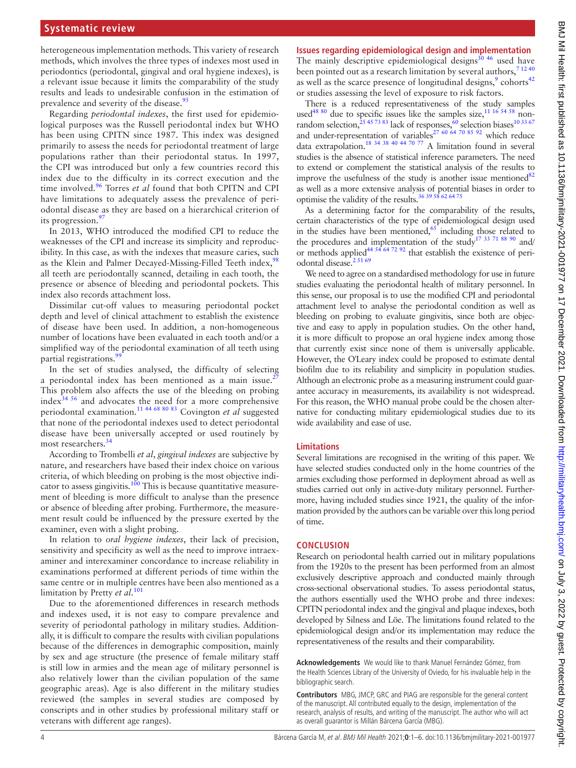## **Systematic review**

heterogeneous implementation methods. This variety of research methods, which involves the three types of indexes most used in periodontics (periodontal, gingival and oral hygiene indexes), is a relevant issue because it limits the comparability of the study results and leads to undesirable confusion in the estimation of prevalence and severity of the disease.<sup>[95](#page-5-6)</sup>

Regarding *periodontal indexes*, the first used for epidemiological purposes was the Russell periodontal index but WHO has been using CPITN since 1987. This index was designed primarily to assess the needs for periodontal treatment of large populations rather than their periodontal status. In 1997, the CPI was introduced but only a few countries record this index due to the difficulty in its correct execution and the time involved.[96](#page-5-7) Torres *et al* found that both CPITN and CPI have limitations to adequately assess the prevalence of periodontal disease as they are based on a hierarchical criterion of its progression.<sup>[97](#page-5-8)</sup>

In 2013, WHO introduced the modified CPI to reduce the weaknesses of the CPI and increase its simplicity and reproducibility. In this case, as with the indexes that measure caries, such as the Klein and Palmer Decayed-Missing-Filled Teeth index,<sup>[98](#page-5-9)</sup> all teeth are periodontally scanned, detailing in each tooth, the presence or absence of bleeding and periodontal pockets. This index also records attachment loss.

Dissimilar cut-off values to measuring periodontal pocket depth and level of clinical attachment to establish the existence of disease have been used. In addition, a non-homogeneous number of locations have been evaluated in each tooth and/or a simplified way of the periodontal examination of all teeth using partial registrations.<sup>9</sup>

In the set of studies analysed, the difficulty of selecting a periodontal index has been mentioned as a main issue.<sup>[27](#page-4-12)</sup> This problem also affects the use of the bleeding on probing index $34\frac{56}{10}$  and advocates the need for a more comprehensive periodontal examination.[11 44 68 80 83](#page-4-14) Covington *et al* suggested that none of the periodontal indexes used to detect periodontal disease have been universally accepted or used routinely by most researchers.<sup>[34](#page-4-13)</sup>

According to Trombelli *et al*, *gingival indexes* are subjective by nature, and researchers have based their index choice on various criteria, of which bleeding on probing is the most objective indicator to assess gingivitis.<sup>100</sup> This is because quantitative measurement of bleeding is more difficult to analyse than the presence or absence of bleeding after probing. Furthermore, the measurement result could be influenced by the pressure exerted by the examiner, even with a slight probing.

In relation to *oral hygiene indexes*, their lack of precision, sensitivity and specificity as well as the need to improve intraexaminer and interexaminer concordance to increase reliability in examinations performed at different periods of time within the same centre or in multiple centres have been also mentioned as a limitation by Pretty *et al*. [101](#page-5-12)

Due to the aforementioned differences in research methods and indexes used, it is not easy to compare prevalence and severity of periodontal pathology in military studies. Additionally, it is difficult to compare the results with civilian populations because of the differences in demographic composition, mainly by sex and age structure (the presence of female military staff is still low in armies and the mean age of military personnel is also relatively lower than the civilian population of the same geographic areas). Age is also different in the military studies reviewed (the samples in several studies are composed by conscripts and in other studies by professional military staff or veterans with different age ranges).

# **Issues regarding epidemiological design and implementation**

The mainly descriptive epidemiological designs $30\frac{46}{10}$  used have been pointed out as a research limitation by several authors,  $71240$ as well as the scarce presence of longitudinal designs, $9$  cohorts<sup>[42](#page-4-9)</sup> or studies assessing the level of exposure to risk factors.

There is a reduced representativeness of the study samples used<sup>48 80</sup> due to specific issues like the samples size,  $11\frac{16}{54}$  58 nonrandom selection,  $^{25}$  45 73 83 lack of responses,  $^{60}$  $^{60}$  $^{60}$  selection biases<sup>10 33 67</sup> and under-representation of variables<sup>27 60 64 70 85 92</sup> which reduce data extrapolation.<sup>18 34 38 40 44 70 77</sup> A limitation found in several studies is the absence of statistical inference parameters. The need to extend or complement the statistical analysis of the results to improve the usefulness of the study is another issue mentioned<sup>82</sup> as well as a more extensive analysis of potential biases in order to optimise the validity of the results.[36 39 58 62 64 75](#page-4-21)

As a determining factor for the comparability of the results, certain characteristics of the type of epidemiological design used in the studies have been mentioned,<sup>65</sup> including those related to the procedures and implementation of the study<sup>[17 33 71 88 90](#page-4-22)</sup> and/ or methods applied<sup>44 54 64 72 92</sup> that establish the existence of periodontal disease.<sup>2 51 69</sup>

We need to agree on a standardised methodology for use in future studies evaluating the periodontal health of military personnel. In this sense, our proposal is to use the modified CPI and periodontal attachment level to analyse the periodontal condition as well as bleeding on probing to evaluate gingivitis, since both are objective and easy to apply in population studies. On the other hand, it is more difficult to propose an oral hygiene index among those that currently exist since none of them is universally applicable. However, the O'Leary index could be proposed to estimate dental biofilm due to its reliability and simplicity in population studies. Although an electronic probe as a measuring instrument could guarantee accuracy in measurements, its availability is not widespread. For this reason, the WHO manual probe could be the chosen alternative for conducting military epidemiological studies due to its wide availability and ease of use.

### **Limitations**

Several limitations are recognised in the writing of this paper. We have selected studies conducted only in the home countries of the armies excluding those performed in deployment abroad as well as studies carried out only in active-duty military personnel. Furthermore, having included studies since 1921, the quality of the information provided by the authors can be variable over this long period of time.

### **CONCLUSION**

Research on periodontal health carried out in military populations from the 1920s to the present has been performed from an almost exclusively descriptive approach and conducted mainly through cross-sectional observational studies. To assess periodontal status, the authors essentially used the WHO probe and three indexes: CPITN periodontal index and the gingival and plaque indexes, both developed by Silness and Löe. The limitations found related to the epidemiological design and/or its implementation may reduce the representativeness of the results and their comparability.

**Acknowledgements** We would like to thank Manuel Fernández Gómez, from the Health Sciences Library of the University of Oviedo, for his invaluable help in the bibliographic search.

**Contributors** MBG, JMCP, GRC and PIAG are responsible for the general content of the manuscript. All contributed equally to the design, implementation of the research, analysis of results, and writing of the manuscript. The author who will act as overall guarantor is Millán Bárcena García (MBG).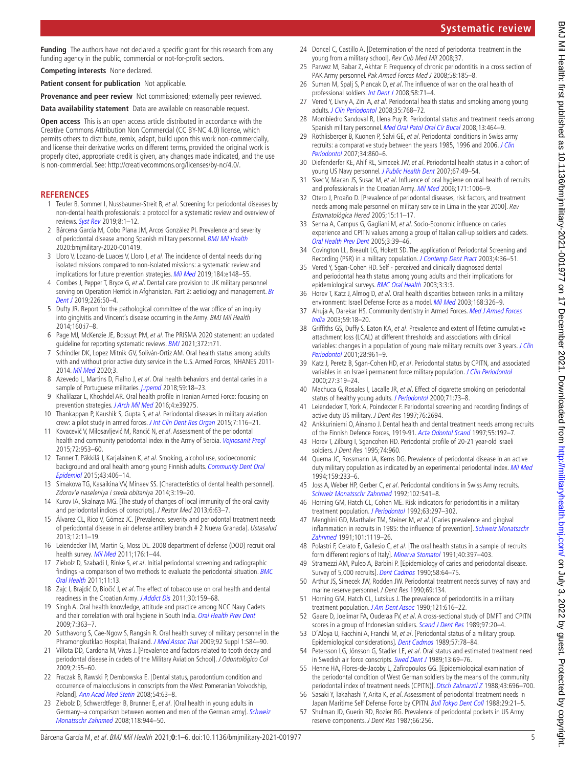**Funding** The authors have not declared a specific grant for this research from any funding agency in the public, commercial or not-for-profit sectors.

**Competing interests** None declared.

**Patient consent for publication** Not applicable.

**Provenance and peer review** Not commissioned; externally peer reviewed.

**Data availability statement** Data are available on reasonable request.

**Open access** This is an open access article distributed in accordance with the Creative Commons Attribution Non Commercial (CC BY-NC 4.0) license, which permits others to distribute, remix, adapt, build upon this work non-commercially, and license their derivative works on different terms, provided the original work is properly cited, appropriate credit is given, any changes made indicated, and the use is non-commercial. See: <http://creativecommons.org/licenses/by-nc/4.0/>.

#### <span id="page-4-0"></span>**REFERENCES**

- 1 Teufer B, Sommer I, Nussbaumer-Streit B, et al. Screening for periodontal diseases by non-dental health professionals: a protocol for a systematic review and overview of reviews. [Syst Rev](http://dx.doi.org/10.1186/s13643-019-0977-9) 2019;8:1–12.
- <span id="page-4-1"></span>Bárcena García M, Cobo Plana JM, Arcos González PI. Prevalence and severity of periodontal disease among Spanish military personnel. [BMJ Mil Health](http://dx.doi.org/10.1136/bmjmilitary-2020-001419) 2020:bmjmilitary-2020-001419.
- 3 Lloro V, Lozano-de Luaces V, Lloro I, et al. The incidence of dental needs during isolated missions compared to non-isolated missions: a systematic review and implications for future prevention strategies. [Mil Med](http://dx.doi.org/10.1093/milmed/usy364) 2019;184:e148-55.
- 4 Combes J, Pepper T, Bryce G, et al. Dental care provision to UK military personnel serving on Operation Herrick in Afghanistan. Part 2: aetiology and management. Br [Dent J](http://dx.doi.org/10.1038/sj.bdj.2019.7) 2019;226:50–4.
- <span id="page-4-2"></span>5 Dufty JR. Report for the pathological committee of the war office of an inquiry into gingivitis and Vincent's disease occurring in the Army. BMJ Mil Health 2014;160:i7–8.
- <span id="page-4-3"></span>6 Page MJ, McKenzie JE, Bossuyt PM, et al. The PRISMA 2020 statement: an updated guideline for reporting systematic reviews. **[BMJ](http://dx.doi.org/10.1136/bmj.n71)** 2021;372:n71.
- <span id="page-4-16"></span>7 Schindler DK, Lopez Mitnik GV, Soliván-Ortiz AM. Oral health status among adults with and without prior active duty service in the U.S. Armed Forces, NHANES 2011- 2014. [Mil Med](http://dx.doi.org/10.1093/milmed/usaa355) 2020;3.
- 8 Azevedo L, Martins D, Fialho J, et al. Oral health behaviors and dental caries in a sample of Portuguese militaries. [j.rpemd](http://dx.doi.org/10.24873/j.rpemd.2018.06.217) 2018;59:18-23.
- <span id="page-4-17"></span>9 Khalilazar L, Khoshdel AR. Oral health profile in Iranian Armed Force: focusing on prevention strategies. [J Arch Mil Med](http://dx.doi.org/10.5812/jamm.39275) 2016;4:e39275.
- <span id="page-4-19"></span>Thankappan P, Kaushik S, Gupta S, et al. Periodontal diseases in military aviation crew: a pilot study in armed forces. [J Int Clin Dent Res Organ](http://dx.doi.org/10.4103/2231-0754.164375) 2015;7:116–21.
- <span id="page-4-14"></span>11 Kovacević V, Milosavljević M, Rancić N, et al. Assessment of the periodontal health and community periodontal index in the Army of Serbia. [Vojnosanit Pregl](http://dx.doi.org/10.2298/VSP140812105K) 2015;72:953–60.
- 12 Tanner T, Päkkilä J, Karjalainen K, et al. Smoking, alcohol use, socioeconomic background and oral health among young Finnish adults. Community Dent Oral [Epidemiol](http://dx.doi.org/10.1111/cdoe.12163) 2015;43:406–14.
- 13 Simakova TG, Kasaikina VV, Minaev SS. [Characteristics of dental health personnel]. Zdorov'e naseleniya i sreda obitaniya 2014;3:19–20.
- 14 Kurov IA, Skalnaya MG. [The study of changes of local immunity of the oral cavity and periodontal indices of conscripts]. J Restor Med 2013;6:63–7.
- 15 Álvarez CL, Rico V, Gómez JC. [Prevalence, severity and periodontal treatment needs of periodontal disease in air defense artillery branch # 2 Nueva Granada]. Ustasalud 2013;12:11–19.
- 16 Leiendecker TM, Martin G, Moss DL. 2008 department of defense (DOD) recruit oral health survey. [Mil Med](http://dx.doi.org/10.7205/milmed-d-11-00180) 2011;176:1–44.
- <span id="page-4-22"></span>17 Ziebolz D, Szabadi I, Rinke S, et al. Initial periodontal screening and radiographic findings -a comparison of two methods to evaluate the periodontal situation. [BMC](http://dx.doi.org/10.1186/1472-6831-11-3)  [Oral Health](http://dx.doi.org/10.1186/1472-6831-11-3) 2011;11:13.
- <span id="page-4-20"></span>18 Zajc I, Brajdić D, Biočić J, et al. The effect of tobacco use on oral health and dental readiness in the Croatian Army. [J Addict Dis](http://dx.doi.org/10.1080/10550887.2011.554783) 2011;30:159–68.
- 19 Singh A. Oral health knowledge, attitude and practice among NCC Navy Cadets and their correlation with oral hygiene in South India. [Oral Health Prev Dent](http://www.ncbi.nlm.nih.gov/pubmed/20011754) 2009;7:363–7.
- 20 Sutthavong S, Cae-Ngow S, Rangsin R. Oral health survey of military personnel in the Phramongkutklao Hospital, Thailand. [J Med Assoc Thai](http://www.ncbi.nlm.nih.gov/pubmed/21299181) 2009;92 Suppl 1:S84-90.
- 21 Villota DD, Cardona M, Vivas J. [Prevalence and factors related to tooth decay and periodontal disease in cadets of the Military Aviation School]. J Odontológico Col 2009;2:55–60.
- 22 Fraczak B, Rawski P, Dembowska E. [Dental status, parodontium condition and occurrence of malocclusions in conscripts from the West Pomeranian Voivodship, Poland]. [Ann Acad Med Stetin](http://www.ncbi.nlm.nih.gov/pubmed/19839514) 2008;54:63–8.
- 23 Ziebolz D, Schwerdtfeger B, Brunner E, et al. [Oral health in young adults in Germany--a comparison between women and men of the German army]. [Schweiz](http://www.ncbi.nlm.nih.gov/pubmed/18998580)  [Monatsschr Zahnmed](http://www.ncbi.nlm.nih.gov/pubmed/18998580) 2008;118:944–50.
- 24 Doncel C, Castillo A. [Determination of the need of periodontal treatment in the young from a military school]. Rev Cub Med Mil 2008;37.
- <span id="page-4-4"></span>25 Parwez M, Babar Z, Akhtar F. Frequency of chronic periodontitis in a cross section of PAK Army personnel. Pak Armed Forces Med J 2008;58:185-8.
- 26 Suman M, Spalj S, Plancak D, et al. The influence of war on the oral health of professional soldiers. [Int Dent J](http://dx.doi.org/10.1111/j.1875-595x.2008.tb00178.x) 2008;58:71–4.
- <span id="page-4-12"></span>27 Vered Y, Livny A, Zini A, et al. Periodontal health status and smoking among young adults. [J Clin Periodontol](http://dx.doi.org/10.1111/j.1600-051X.2008.01294.x) 2008;35:768-72.
- 28 Mombiedro Sandoval R, Llena Puy R. Periodontal status and treatment needs among Spanish military personnel. [Med Oral Patol Oral Cir Bucal](http://www.ncbi.nlm.nih.gov/pubmed/18587313) 2008;13:464-9.
- <span id="page-4-5"></span>29 Röthlisberger B, Kuonen P, Salvi GE, et al. Periodontal conditions in Swiss army recruits: a comparative study between the years 1985, 1996 and 2006. J Clin [Periodontol](http://dx.doi.org/10.1111/j.1600-051X.2007.01124.x) 2007;34:860–6.
- <span id="page-4-15"></span>30 Diefenderfer KE, Ahlf RL, Simecek JW, et al. Periodontal health status in a cohort of young US Navy personnel. [J Public Health Dent](http://dx.doi.org/10.1111/j.1752-7325.2007.00008.x) 2007;67:49–54.
- <span id="page-4-6"></span>31 Skec V, Macan JS, Susac M, et al. Influence of oral hygiene on oral health of recruits and professionals in the Croatian Army. [Mil Med](http://dx.doi.org/10.7205/milmed.171.10.1006) 2006;171:1006-9.
- 32 Otero J, Proaño D. [Prevalence of periodontal diseases, risk factors, and treatment needs among male personnel on military service in Lima in the year 2000]. Rev Estomatológica Hered 2005;15:11–17.
- 33 Senna A, Campus G, Gagliani M, et al. Socio-Economic influence on caries experience and CPITN values among a group of Italian call-up soldiers and cadets. [Oral Health Prev Dent](http://www.ncbi.nlm.nih.gov/pubmed/15921336) 2005;3:39–46.
- <span id="page-4-13"></span>34 Covington LL, Breault LG, Hokett SD. The application of Periodontal Screening and Recording (PSR) in a military population. [J Contemp Dent Pract](http://www.ncbi.nlm.nih.gov/pubmed/12937595) 2003;4:36-51.
- 35 Vered Y, Sgan-Cohen HD. Self perceived and clinically diagnosed dental and periodontal health status among young adults and their implications for epidemiological surveys. **[BMC Oral Health](http://dx.doi.org/10.1186/1472-6831-3-3) 2003**;3:3:3.
- <span id="page-4-21"></span>36 Horev T, Katz J, Almog D, et al. Oral health disparities between ranks in a military environment: Israel Defense Force as a model. [Mil Med](http://www.ncbi.nlm.nih.gov/pubmed/12733679) 2003;168:326-9.
- 37 Ahuja A, Darekar HS. Community dentistry in Armed Forces. Med J Armed Forces [India](http://dx.doi.org/10.1016/S0377-1237(03)80097-7) 2003;59:18–20.
- <span id="page-4-7"></span>38 Griffiths GS, Duffy S, Eaton KA, et al. Prevalence and extent of lifetime cumulative attachment loss (LCAL) at different thresholds and associations with clinical variables: changes in a population of young male military recruits over 3 years. J Clin [Periodontol](http://dx.doi.org/10.1034/j.1600-051x.2001.028010961.x) 2001;28:961–9.
- 39 Katz J, Peretz B, Sgan-Cohen HD, et al. Periodontal status by CPITN, and associated variables in an Israeli permanent force military population. [J Clin Periodontol](http://dx.doi.org/10.1034/j.1600-051x.2000.027005319.x) 2000;27:319–24.
- <span id="page-4-8"></span>40 Machuca G, Rosales I, Lacalle JR, et al. Effect of cigarette smoking on periodontal status of healthy young adults. [J Periodontol](http://dx.doi.org/10.1902/jop.2000.71.1.73) 2000;71:73-8.
- 41 Leiendecker T, York A, Poindexter F. Periodontal screening and recording findings of active duty US military. J Dent Res 1997;76:2694.
- <span id="page-4-9"></span>42 Ankkuriniemi O, Ainamo J. Dental health and dental treatment needs among recruits of the Finnish Defence Forces, 1919-91. [Acta Odontol Scand](http://dx.doi.org/10.3109/00016359709115415) 1997:55:192-7.
- 43 Horev T, Zilburg I, Sgancohen HD. Periodontal profile of 20-21 year-old Israeli soldiers. J Dent Res 1995;74:960.
- <span id="page-4-23"></span>44 Querna JC, Rossmann JA, Kerns DG. Prevalence of periodontal disease in an active duty military population as indicated by an experimental periodontal index. [Mil Med](http://www.ncbi.nlm.nih.gov/pubmed/8041472) 1994;159:233–6.
- <span id="page-4-10"></span>45 Joss A, Weber HP, Gerber C, et al. Periodontal conditions in Swiss Army recruits. [Schweiz Monatsschr Zahnmed](http://www.ncbi.nlm.nih.gov/pubmed/1598554) 1992;102:541–8.
- 46 Horning GM, Hatch CL, Cohen ME. Risk indicators for periodontitis in a military treatment population. [J Periodontol](http://dx.doi.org/10.1902/jop.1992.63.4.297) 1992;63:297-302.
- 47 Menghini GD, Marthaler TM, Steiner M, et al. [Caries prevalence and gingival inflammation in recruits in 1985: the influence of prevention]. Schweiz Monatsschr [Zahnmed](http://www.ncbi.nlm.nih.gov/pubmed/1792542) 1991;101:1119–26.
- <span id="page-4-18"></span>48 Polastri F, Cerato E, Gallesio C, et al. [The oral health status in a sample of recruits form different regions of Italy]. [Minerva Stomatol](http://www.ncbi.nlm.nih.gov/pubmed/1944054) 1991;40:397-403.
- 49 Stramezzi AM, Puleo A, Barbini P. [Epidemiology of caries and periodontal disease. Survey of 5,000 recruits]. [Dent Cadmos](http://www.ncbi.nlm.nih.gov/pubmed/2397839) 1990;58:64-75.
- 50 Arthur JS, Simecek JW, Rodden JW. Periodontal treatment needs survey of navy and marine reserve personnel. J Dent Res 1990;69:134.
- 51 Horning GM, Hatch CL, Lutskus J. The prevalence of periodontitis in a military treatment population. [J Am Dent Assoc](http://dx.doi.org/10.14219/jada.archive.1990.0221) 1990;121:616-22.
- 52 Gaare D, Joelimar FA, Ouderaa FV, et al. A cross-sectional study of DMFT and CPITN scores in a group of Indonesian soldiers. [Scand J Dent Res](http://dx.doi.org/10.1111/j.1600-0722.1989.tb01426.x) 1989;97:20-4.
- 53 D'Aloya U, Facchini A, Franchi M, et al. [Periodontal status of a military group. Epidemiological considerations]. [Dent Cadmos](http://www.ncbi.nlm.nih.gov/pubmed/2636155) 1989;57:78–84.
- <span id="page-4-11"></span>54 Petersson LG, Jönsson G, Stadler LE, et al. Oral status and estimated treatment need in Swedish air force conscripts. [Swed Dent J](http://www.ncbi.nlm.nih.gov/pubmed/2734700) 1989;13:69-76.
- 55 Henne HA, Flores-de-Jacoby L, Zafiropoulos GG. [Epidemiological examination of the periodontal condition of West German soldiers by the means of the community periodontal index of treatment needs (CPITN)]. [Dtsch Zahnarztl Z](http://www.ncbi.nlm.nih.gov/pubmed/3165855) 1988;43:696-700.
- 56 Sasaki Y, Takahashi Y, Arita K, et al. Assessment of periodontal treatment needs in Japan Maritime Self Defense Force by CPITN. [Bull Tokyo Dent Coll](http://www.ncbi.nlm.nih.gov/pubmed/3268331) 1988;29:21-5.
- 57 Shulman JD, Guerin RD, Rozier RG. Prevalence of periodontal pockets in US Army reserve components. J Dent Res 1987;66:256.